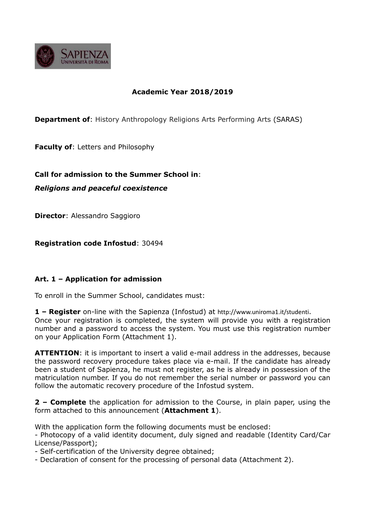

# **Academic Year 2018/2019**

**Department of:** History Anthropology Religions Arts Performing Arts (SARAS)

**Faculty of**: Letters and Philosophy

**Call for admission to the Summer School in**:

*Religions and peaceful coexistence*

**Director**: Alessandro Saggioro

**Registration code Infostud**: 30494

# **Art. 1 – Application for admission**

To enroll in the Summer School, candidates must:

**1 – Register** on-line with the Sapienza (Infostud) at http://www.uniroma1.it/studenti. Once your registration is completed, the system will provide you with a registration number and a password to access the system. You must use this registration number on your Application Form (Attachment 1).

**ATTENTION**: it is important to insert a valid e-mail address in the addresses, because the password recovery procedure takes place via e-mail. If the candidate has already been a student of Sapienza, he must not register, as he is already in possession of the matriculation number. If you do not remember the serial number or password you can follow the automatic recovery procedure of the Infostud system.

**2 – Complete** the application for admission to the Course, in plain paper, using the form attached to this announcement (**Attachment 1**).

With the application form the following documents must be enclosed:

- Photocopy of a valid identity document, duly signed and readable (Identity Card/Car License/Passport);

- Self-certification of the University degree obtained;

- Declaration of consent for the processing of personal data (Attachment 2).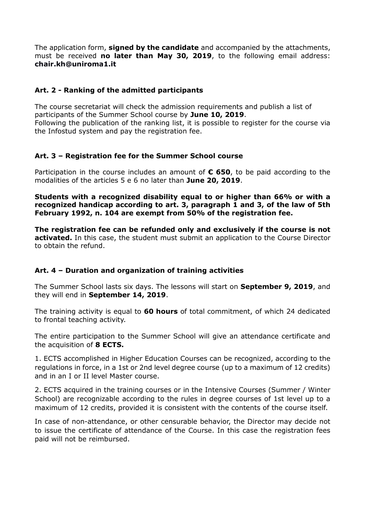The application form, **signed by the candidate** and accompanied by the attachments, must be received **no later than May 30, 2019**, to the following email address: **chair.kh@uniroma1.it**

# **Art. 2 - Ranking of the admitted participants**

The course secretariat will check the admission requirements and publish a list of participants of the Summer School course by **June 10, 2019**. Following the publication of the ranking list, it is possible to register for the course via the Infostud system and pay the registration fee.

### **Art. 3 – Registration fee for the Summer School course**

Participation in the course includes an amount of **€ 650**, to be paid according to the modalities of the articles 5 e 6 no later than **June 20, 2019**.

**Students with a recognized disability equal to or higher than 66% or with a recognized handicap according to art. 3, paragraph 1 and 3, of the law of 5th February 1992, n. 104 are exempt from 50% of the registration fee.**

**The registration fee can be refunded only and exclusively if the course is not activated.** In this case, the student must submit an application to the Course Director to obtain the refund.

# **Art. 4 – Duration and organization of training activities**

The Summer School lasts six days. The lessons will start on **September 9, 2019**, and they will end in **September 14, 2019**.

The training activity is equal to **60 hours** of total commitment, of which 24 dedicated to frontal teaching activity.

The entire participation to the Summer School will give an attendance certificate and the acquisition of **8 ECTS.**

1. ECTS accomplished in Higher Education Courses can be recognized, according to the regulations in force, in a 1st or 2nd level degree course (up to a maximum of 12 credits) and in an I or II level Master course.

2. ECTS acquired in the training courses or in the Intensive Courses (Summer / Winter School) are recognizable according to the rules in degree courses of 1st level up to a maximum of 12 credits, provided it is consistent with the contents of the course itself.

In case of non-attendance, or other censurable behavior, the Director may decide not to issue the certificate of attendance of the Course. In this case the registration fees paid will not be reimbursed.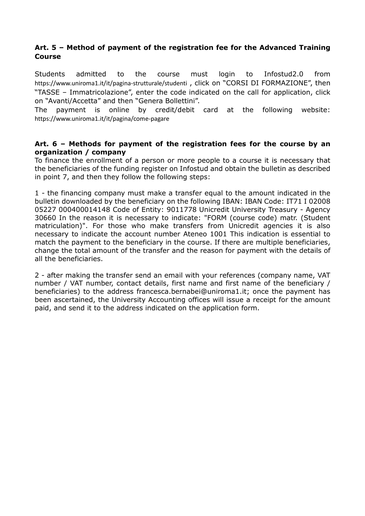# **Art. 5 – Method of payment of the registration fee for the Advanced Training Course**

Students admitted to the course must login to Infostud2.0 from https://www.uniroma1.it/it/pagina-strutturale/studenti , click on "CORSI DI FORMAZIONE", then "TASSE – Immatricolazione", enter the code indicated on the call for application, click on "Avanti/Accetta" and then "Genera Bollettini".

The payment is online by credit/debit card at the following website: https://www.uniroma1.it/it/pagina/come-pagare

#### **Art. 6 – Methods for payment of the registration fees for the course by an organization / company**

To finance the enrollment of a person or more people to a course it is necessary that the beneficiaries of the funding register on Infostud and obtain the bulletin as described in point 7, and then they follow the following steps:

1 - the financing company must make a transfer equal to the amount indicated in the bulletin downloaded by the beneficiary on the following IBAN: IBAN Code: IT71 I 02008 05227 000400014148 Code of Entity: 9011778 Unicredit University Treasury - Agency 30660 In the reason it is necessary to indicate: "FORM (course code) matr. (Student matriculation)". For those who make transfers from Unicredit agencies it is also necessary to indicate the account number Ateneo 1001 This indication is essential to match the payment to the beneficiary in the course. If there are multiple beneficiaries, change the total amount of the transfer and the reason for payment with the details of all the beneficiaries.

2 - after making the transfer send an email with your references (company name, VAT number / VAT number, contact details, first name and first name of the beneficiary / beneficiaries) to the address francesca.bernabei@uniroma1.it; once the payment has been ascertained, the University Accounting offices will issue a receipt for the amount paid, and send it to the address indicated on the application form.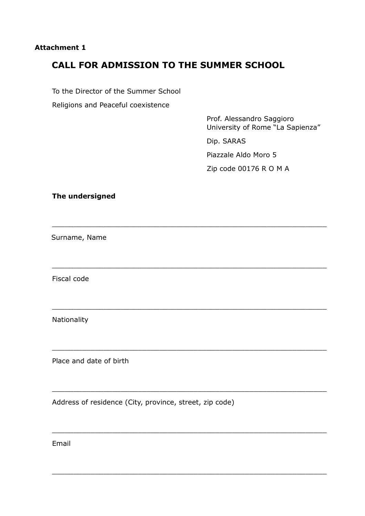### **Attachment 1**

# **CALL FOR ADMISSION TO THE SUMMER SCHOOL**

\_\_\_\_\_\_\_\_\_\_\_\_\_\_\_\_\_\_\_\_\_\_\_\_\_\_\_\_\_\_\_\_\_\_\_\_\_\_\_\_\_\_\_\_\_\_\_\_\_\_\_\_\_\_\_\_\_\_\_\_\_\_\_\_

\_\_\_\_\_\_\_\_\_\_\_\_\_\_\_\_\_\_\_\_\_\_\_\_\_\_\_\_\_\_\_\_\_\_\_\_\_\_\_\_\_\_\_\_\_\_\_\_\_\_\_\_\_\_\_\_\_\_\_\_\_\_\_\_

\_\_\_\_\_\_\_\_\_\_\_\_\_\_\_\_\_\_\_\_\_\_\_\_\_\_\_\_\_\_\_\_\_\_\_\_\_\_\_\_\_\_\_\_\_\_\_\_\_\_\_\_\_\_\_\_\_\_\_\_\_\_\_\_

\_\_\_\_\_\_\_\_\_\_\_\_\_\_\_\_\_\_\_\_\_\_\_\_\_\_\_\_\_\_\_\_\_\_\_\_\_\_\_\_\_\_\_\_\_\_\_\_\_\_\_\_\_\_\_\_\_\_\_\_\_\_\_\_

\_\_\_\_\_\_\_\_\_\_\_\_\_\_\_\_\_\_\_\_\_\_\_\_\_\_\_\_\_\_\_\_\_\_\_\_\_\_\_\_\_\_\_\_\_\_\_\_\_\_\_\_\_\_\_\_\_\_\_\_\_\_\_\_

\_\_\_\_\_\_\_\_\_\_\_\_\_\_\_\_\_\_\_\_\_\_\_\_\_\_\_\_\_\_\_\_\_\_\_\_\_\_\_\_\_\_\_\_\_\_\_\_\_\_\_\_\_\_\_\_\_\_\_\_\_\_\_\_

\_\_\_\_\_\_\_\_\_\_\_\_\_\_\_\_\_\_\_\_\_\_\_\_\_\_\_\_\_\_\_\_\_\_\_\_\_\_\_\_\_\_\_\_\_\_\_\_\_\_\_\_\_\_\_\_\_\_\_\_\_\_\_\_

To the Director of the Summer School

Religions and Peaceful coexistence

Prof. Alessandro Saggioro University of Rome "La Sapienza"

Dip. SARAS

Piazzale Aldo Moro 5 Zip code 00176 R O M A

# **The undersigned**

Surname, Name

Fiscal code

Nationality

Place and date of birth

Address of residence (City, province, street, zip code)

Email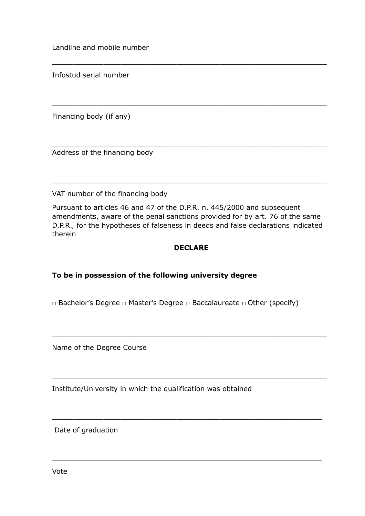Landline and mobile number

Infostud serial number

Financing body (if any)

Address of the financing body

VAT number of the financing body

Pursuant to articles 46 and 47 of the D.P.R. n. 445/2000 and subsequent amendments, aware of the penal sanctions provided for by art. 76 of the same D.P.R., for the hypotheses of falseness in deeds and false declarations indicated therein

\_\_\_\_\_\_\_\_\_\_\_\_\_\_\_\_\_\_\_\_\_\_\_\_\_\_\_\_\_\_\_\_\_\_\_\_\_\_\_\_\_\_\_\_\_\_\_\_\_\_\_\_\_\_\_\_\_\_\_\_\_\_\_\_

\_\_\_\_\_\_\_\_\_\_\_\_\_\_\_\_\_\_\_\_\_\_\_\_\_\_\_\_\_\_\_\_\_\_\_\_\_\_\_\_\_\_\_\_\_\_\_\_\_\_\_\_\_\_\_\_\_\_\_\_\_\_\_\_

\_\_\_\_\_\_\_\_\_\_\_\_\_\_\_\_\_\_\_\_\_\_\_\_\_\_\_\_\_\_\_\_\_\_\_\_\_\_\_\_\_\_\_\_\_\_\_\_\_\_\_\_\_\_\_\_\_\_\_\_\_\_\_\_

\_\_\_\_\_\_\_\_\_\_\_\_\_\_\_\_\_\_\_\_\_\_\_\_\_\_\_\_\_\_\_\_\_\_\_\_\_\_\_\_\_\_\_\_\_\_\_\_\_\_\_\_\_\_\_\_\_\_\_\_\_\_\_\_

### **DECLARE**

# **To be in possession of the following university degree**

□ Bachelor's Degree □ Master's Degree □ Baccalaureate □ Other (specify)

\_\_\_\_\_\_\_\_\_\_\_\_\_\_\_\_\_\_\_\_\_\_\_\_\_\_\_\_\_\_\_\_\_\_\_\_\_\_\_\_\_\_\_\_\_\_\_\_\_\_\_\_\_\_\_\_\_\_\_\_\_\_\_\_

\_\_\_\_\_\_\_\_\_\_\_\_\_\_\_\_\_\_\_\_\_\_\_\_\_\_\_\_\_\_\_\_\_\_\_\_\_\_\_\_\_\_\_\_\_\_\_\_\_\_\_\_\_\_\_\_\_\_\_\_\_\_\_\_

\_\_\_\_\_\_\_\_\_\_\_\_\_\_\_\_\_\_\_\_\_\_\_\_\_\_\_\_\_\_\_\_\_\_\_\_\_\_\_\_\_\_\_\_\_\_\_\_\_\_\_\_\_\_\_\_\_\_\_\_\_\_\_

\_\_\_\_\_\_\_\_\_\_\_\_\_\_\_\_\_\_\_\_\_\_\_\_\_\_\_\_\_\_\_\_\_\_\_\_\_\_\_\_\_\_\_\_\_\_\_\_\_\_\_\_\_\_\_\_\_\_\_\_\_\_\_

Name of the Degree Course

Institute/University in which the qualification was obtained

Date of graduation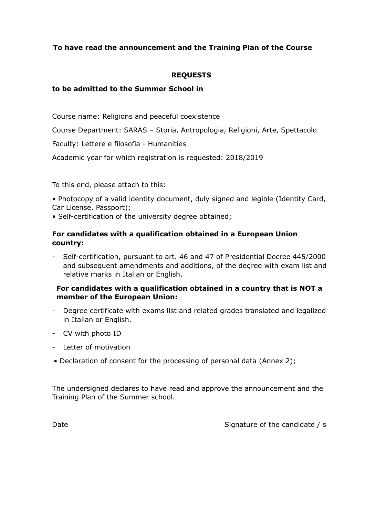# **To have read the announcement and the Training Plan of the Course**

# **REQUESTS**

# **to be admitted to the Summer School in**

Course name: Religions and peaceful coexistence

Course Department: SARAS – Storia, Antropologia, Religioni, Arte, Spettacolo

Faculty: Lettere e filosofia - Humanities

Academic year for which registration is requested: 2018/2019

To this end, please attach to this:

• Photocopy of a valid identity document, duly signed and legible (Identity Card, Car License, Passport);

• Self-certification of the university degree obtained;

# **For candidates with a qualification obtained in a European Union country:**

- Self-certification, pursuant to art. 46 and 47 of Presidential Decree 445/2000 and subsequent amendments and additions, of the degree with exam list and relative marks in Italian or English.

# **For candidates with a qualification obtained in a country that is NOT a member of the European Union:**

- Degree certificate with exams list and related grades translated and legalized in Italian or English.
- CV with photo ID
- Letter of motivation
- Declaration of consent for the processing of personal data (Annex 2);

The undersigned declares to have read and approve the announcement and the Training Plan of the Summer school.

Date Signature of the candidate / s